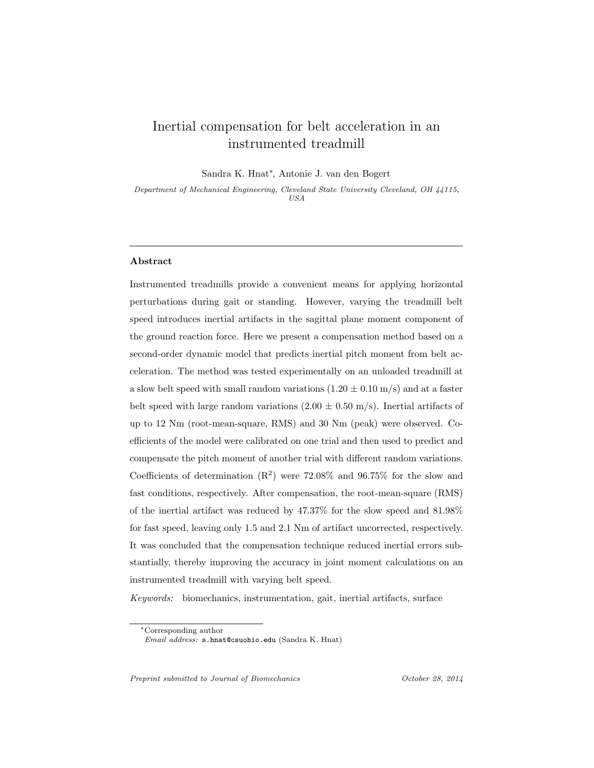# Inertial compensation for belt acceleration in an instrumented treadmill

Sandra K. Hnat<sup>∗</sup> , Antonie J. van den Bogert

Department of Mechanical Engineering, Cleveland State University Cleveland, OH 44115, USA

#### Abstract

Instrumented treadmills provide a convenient means for applying horizontal perturbations during gait or standing. However, varying the treadmill belt speed introduces inertial artifacts in the sagittal plane moment component of the ground reaction force. Here we present a compensation method based on a second-order dynamic model that predicts inertial pitch moment from belt acceleration. The method was tested experimentally on an unloaded treadmill at a slow belt speed with small random variations  $(1.20 \pm 0.10 \text{ m/s})$  and at a faster belt speed with large random variations  $(2.00 \pm 0.50 \text{ m/s})$ . Inertial artifacts of up to 12 Nm (root-mean-square, RMS) and 30 Nm (peak) were observed. Coefficients of the model were calibrated on one trial and then used to predict and compensate the pitch moment of another trial with different random variations. Coefficients of determination  $(R^2)$  were 72.08% and 96.75% for the slow and fast conditions, respectively. After compensation, the root-mean-square (RMS) of the inertial artifact was reduced by 47.37% for the slow speed and 81.98% for fast speed, leaving only 1.5 and 2.1 Nm of artifact uncorrected, respectively. It was concluded that the compensation technique reduced inertial errors substantially, thereby improving the accuracy in joint moment calculations on an instrumented treadmill with varying belt speed.

Keywords: biomechanics, instrumentation, gait, inertial artifacts, surface

Preprint submitted to Journal of Biomechanics Cotober 28, 2014

<sup>∗</sup>Corresponding author

Email address: s.hnat@csuohio.edu (Sandra K. Hnat)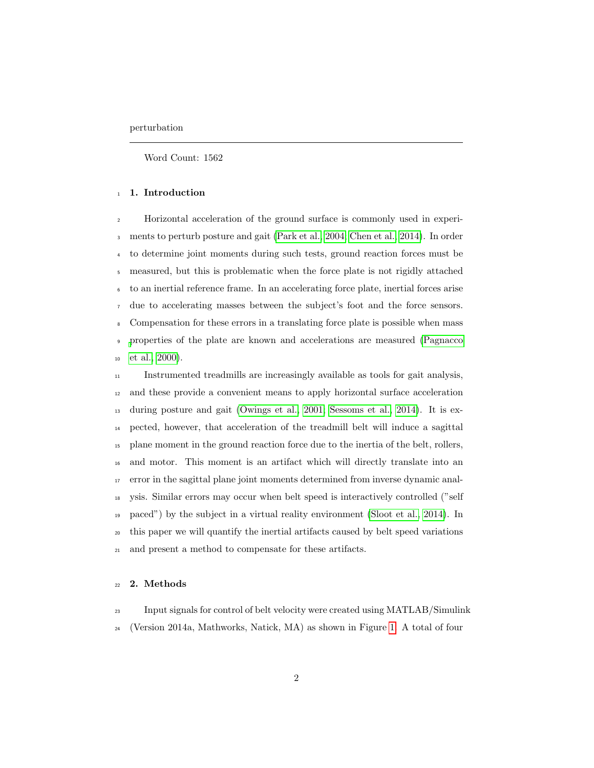#### Word Count: 1562

## 1. Introduction

 Horizontal acceleration of the ground surface is commonly used in experi- ments to perturb posture and gait [\(Park et al., 2004;](#page-6-0) [Chen et al., 2014\)](#page-6-1). In order to determine joint moments during such tests, ground reaction forces must be measured, but this is problematic when the force plate is not rigidly attached to an inertial reference frame. In an accelerating force plate, inertial forces arise due to accelerating masses between the subject's foot and the force sensors. Compensation for these errors in a translating force plate is possible when mass [p](#page-6-2)roperties of the plate are known and accelerations are measured [\(Pagnacco](#page-6-2) [et al., 2000\)](#page-6-2).

 Instrumented treadmills are increasingly available as tools for gait analysis, and these provide a convenient means to apply horizontal surface acceleration during posture and gait [\(Owings et al., 2001;](#page-6-3) [Sessoms et al., 2014\)](#page-7-0). It is ex- pected, however, that acceleration of the treadmill belt will induce a sagittal plane moment in the ground reaction force due to the inertia of the belt, rollers, and motor. This moment is an artifact which will directly translate into an error in the sagittal plane joint moments determined from inverse dynamic anal- ysis. Similar errors may occur when belt speed is interactively controlled ("self paced") by the subject in a virtual reality environment [\(Sloot et al., 2014\)](#page-7-1). In this paper we will quantify the inertial artifacts caused by belt speed variations and present a method to compensate for these artifacts.

## 2. Methods

Input signals for control of belt velocity were created using MATLAB/Simulink

(Version 2014a, Mathworks, Natick, MA) as shown in Figure [1.](#page-8-0) A total of four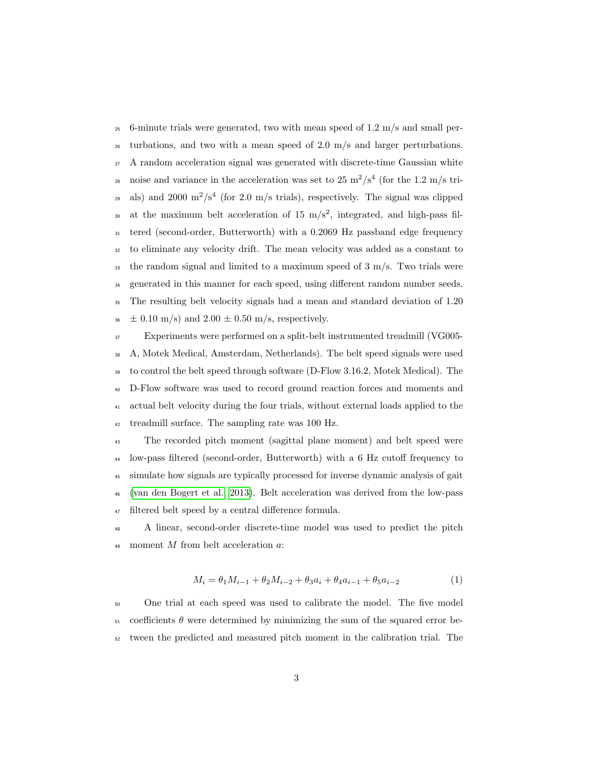6-minute trials were generated, two with mean speed of 1.2 m/s and small per- $_{26}$  turbations, and two with a mean speed of 2.0 m/s and larger perturbations. A random acceleration signal was generated with discrete-time Gaussian white 28 noise and variance in the acceleration was set to  $25 \text{ m}^2/\text{s}^4$  (for the 1.2 m/s trials) and 2000  $\rm m^2/s^4$  (for 2.0 m/s trials), respectively. The signal was clipped 30 at the maximum belt acceleration of  $15 \text{ m/s}^2$ , integrated, and high-pass fil- tered (second-order, Butterworth) with a 0.2069 Hz passband edge frequency to eliminate any velocity drift. The mean velocity was added as a constant to  $\frac{33}{10}$  the random signal and limited to a maximum speed of 3 m/s. Two trials were generated in this manner for each speed, using different random number seeds. The resulting belt velocity signals had a mean and standard deviation of 1.20  $\pm 0.10$  m/s) and  $2.00 \pm 0.50$  m/s, respectively.

 Experiments were performed on a split-belt instrumented treadmill (VG005- A, Motek Medical, Amsterdam, Netherlands). The belt speed signals were used to control the belt speed through software (D-Flow 3.16.2, Motek Medical). The D-Flow software was used to record ground reaction forces and moments and actual belt velocity during the four trials, without external loads applied to the treadmill surface. The sampling rate was 100 Hz.

 The recorded pitch moment (sagittal plane moment) and belt speed were low-pass filtered (second-order, Butterworth) with a 6 Hz cutoff frequency to simulate how signals are typically processed for inverse dynamic analysis of gait [\(van den Bogert et al., 2013\)](#page-7-2). Belt acceleration was derived from the low-pass filtered belt speed by a central difference formula.

 A linear, second-order discrete-time model was used to predict the pitch 49 moment  $M$  from belt acceleration  $a$ :

$$
M_i = \theta_1 M_{i-1} + \theta_2 M_{i-2} + \theta_3 a_i + \theta_4 a_{i-1} + \theta_5 a_{i-2}
$$
 (1)

 One trial at each speed was used to calibrate the model. The five model  $\frac{1}{51}$  coefficients  $\theta$  were determined by minimizing the sum of the squared error be-tween the predicted and measured pitch moment in the calibration trial. The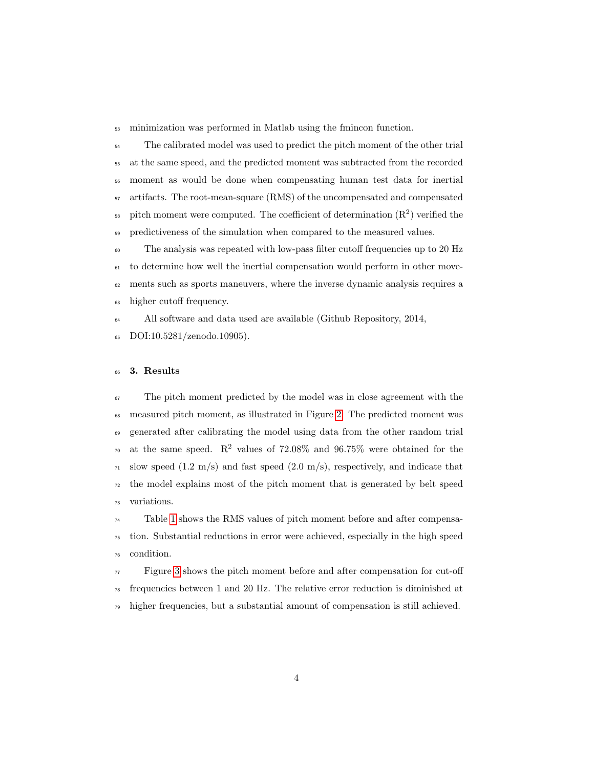minimization was performed in Matlab using the fmincon function.

 The calibrated model was used to predict the pitch moment of the other trial at the same speed, and the predicted moment was subtracted from the recorded moment as would be done when compensating human test data for inertial artifacts. The root-mean-square (RMS) of the uncompensated and compensated s pitch moment were computed. The coefficient of determination  $(R^2)$  verified the <sub>59</sub> predictiveness of the simulation when compared to the measured values.

 The analysis was repeated with low-pass filter cutoff frequencies up to 20 Hz to determine how well the inertial compensation would perform in other move- ments such as sports maneuvers, where the inverse dynamic analysis requires a higher cutoff frequency.

All software and data used are available (Github Repository, 2014,

DOI:10.5281/zenodo.10905).

#### 3. Results

 The pitch moment predicted by the model was in close agreement with the measured pitch moment, as illustrated in Figure [2.](#page-9-0) The predicted moment was generated after calibrating the model using data from the other random trial <sup>70</sup> at the same speed.  $\mathbb{R}^2$  values of 72.08% and 96.75% were obtained for the  $\pi_1$  slow speed (1.2 m/s) and fast speed (2.0 m/s), respectively, and indicate that the model explains most of the pitch moment that is generated by belt speed variations.

 Table [1](#page-11-0) shows the RMS values of pitch moment before and after compensa- tion. Substantial reductions in error were achieved, especially in the high speed condition.

 Figure [3](#page-10-0) shows the pitch moment before and after compensation for cut-off  $\tau_8$  frequencies between 1 and 20 Hz. The relative error reduction is diminished at higher frequencies, but a substantial amount of compensation is still achieved.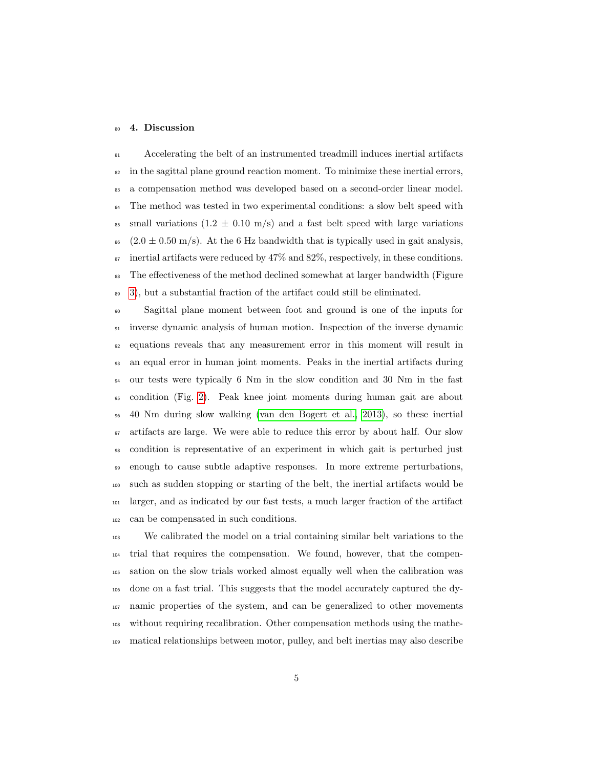#### 4. Discussion

 Accelerating the belt of an instrumented treadmill induces inertial artifacts in the sagittal plane ground reaction moment. To minimize these inertial errors, a compensation method was developed based on a second-order linear model. <sup>84</sup> The method was tested in two experimental conditions: a slow belt speed with <sup>85</sup> small variations  $(1.2 \pm 0.10 \text{ m/s})$  and a fast belt speed with large variations <sup>86</sup> (2.0  $\pm$  0.50 m/s). At the 6 Hz bandwidth that is typically used in gait analysis,  $\frac{87}{100}$  inertial artifacts were reduced by 47% and 82%, respectively, in these conditions. The effectiveness of the method declined somewhat at larger bandwidth (Figure [3\)](#page-10-0), but a substantial fraction of the artifact could still be eliminated.

 Sagittal plane moment between foot and ground is one of the inputs for inverse dynamic analysis of human motion. Inspection of the inverse dynamic equations reveals that any measurement error in this moment will result in an equal error in human joint moments. Peaks in the inertial artifacts during our tests were typically 6 Nm in the slow condition and 30 Nm in the fast condition (Fig. [2\)](#page-9-0). Peak knee joint moments during human gait are about 40 Nm during slow walking [\(van den Bogert et al., 2013\)](#page-7-2), so these inertial artifacts are large. We were able to reduce this error by about half. Our slow condition is representative of an experiment in which gait is perturbed just enough to cause subtle adaptive responses. In more extreme perturbations, such as sudden stopping or starting of the belt, the inertial artifacts would be larger, and as indicated by our fast tests, a much larger fraction of the artifact can be compensated in such conditions.

 We calibrated the model on a trial containing similar belt variations to the trial that requires the compensation. We found, however, that the compen- sation on the slow trials worked almost equally well when the calibration was done on a fast trial. This suggests that the model accurately captured the dy- namic properties of the system, and can be generalized to other movements without requiring recalibration. Other compensation methods using the mathe-matical relationships between motor, pulley, and belt inertias may also describe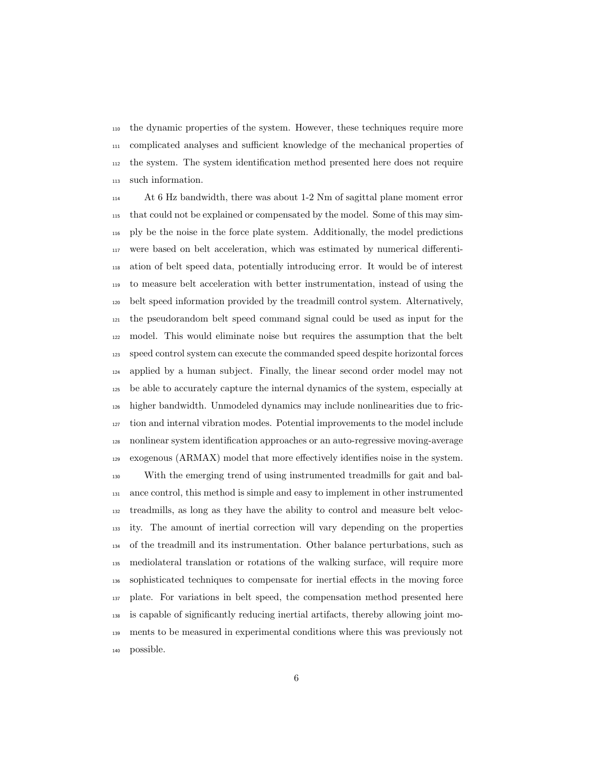the dynamic properties of the system. However, these techniques require more complicated analyses and sufficient knowledge of the mechanical properties of the system. The system identification method presented here does not require such information.

 At 6 Hz bandwidth, there was about 1-2 Nm of sagittal plane moment error that could not be explained or compensated by the model. Some of this may sim- ply be the noise in the force plate system. Additionally, the model predictions were based on belt acceleration, which was estimated by numerical differenti- ation of belt speed data, potentially introducing error. It would be of interest to measure belt acceleration with better instrumentation, instead of using the belt speed information provided by the treadmill control system. Alternatively, the pseudorandom belt speed command signal could be used as input for the model. This would eliminate noise but requires the assumption that the belt speed control system can execute the commanded speed despite horizontal forces applied by a human subject. Finally, the linear second order model may not be able to accurately capture the internal dynamics of the system, especially at higher bandwidth. Unmodeled dynamics may include nonlinearities due to fric- tion and internal vibration modes. Potential improvements to the model include nonlinear system identification approaches or an auto-regressive moving-average exogenous (ARMAX) model that more effectively identifies noise in the system. With the emerging trend of using instrumented treadmills for gait and bal-ance control, this method is simple and easy to implement in other instrumented

 treadmills, as long as they have the ability to control and measure belt veloc- ity. The amount of inertial correction will vary depending on the properties of the treadmill and its instrumentation. Other balance perturbations, such as mediolateral translation or rotations of the walking surface, will require more sophisticated techniques to compensate for inertial effects in the moving force plate. For variations in belt speed, the compensation method presented here is capable of significantly reducing inertial artifacts, thereby allowing joint mo- ments to be measured in experimental conditions where this was previously not possible.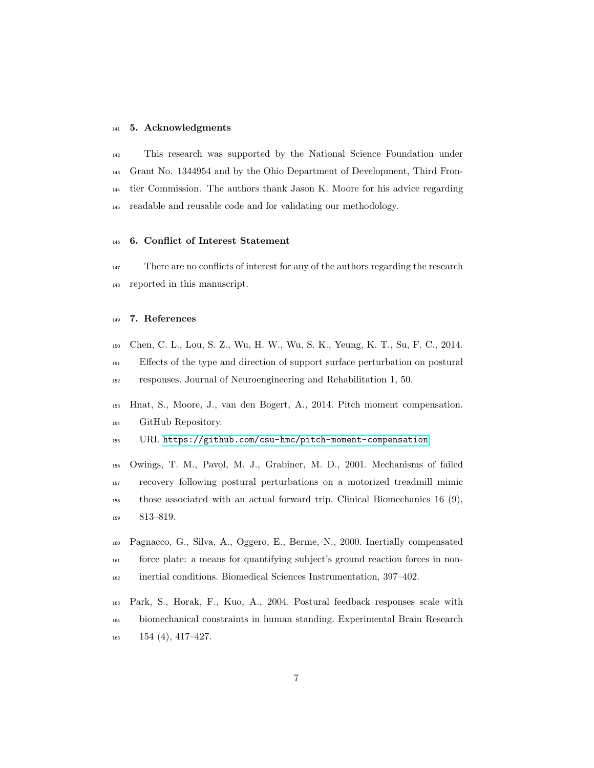#### 5. Acknowledgments

 This research was supported by the National Science Foundation under Grant No. 1344954 and by the Ohio Department of Development, Third Fron- tier Commission. The authors thank Jason K. Moore for his advice regarding readable and reusable code and for validating our methodology.

#### 6. Conflict of Interest Statement

<sup>147</sup> There are no conflicts of interest for any of the authors regarding the research reported in this manuscript.

## 7. References

- <span id="page-6-1"></span> Chen, C. L., Lou, S. Z., Wu, H. W., Wu, S. K., Yeung, K. T., Su, F. C., 2014. Effects of the type and direction of support surface perturbation on postural responses. Journal of Neuroengineering and Rehabilitation 1, 50.
- Hnat, S., Moore, J., van den Bogert, A., 2014. Pitch moment compensation. GitHub Repository.

URL <https://github.com/csu-hmc/pitch-moment-compensation>

- <span id="page-6-3"></span> Owings, T. M., Pavol, M. J., Grabiner, M. D., 2001. Mechanisms of failed recovery following postural perturbations on a motorized treadmill mimic those associated with an actual forward trip. Clinical Biomechanics 16 (9), 813–819.
- <span id="page-6-2"></span> Pagnacco, G., Silva, A., Oggero, E., Berme, N., 2000. Inertially compensated force plate: a means for quantifying subject's ground reaction forces in non-inertial conditions. Biomedical Sciences Instrumentation, 397–402.
- <span id="page-6-0"></span> Park, S., Horak, F., Kuo, A., 2004. Postural feedback responses scale with biomechanical constraints in human standing. Experimental Brain Research  $154 (4), 417-427.$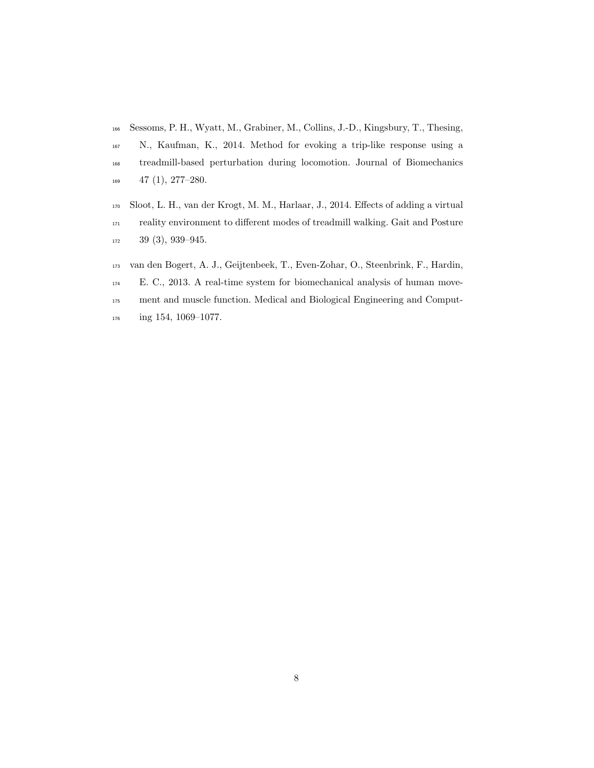- <span id="page-7-0"></span>Sessoms, P. H., Wyatt, M., Grabiner, M., Collins, J.-D., Kingsbury, T., Thesing,
- N., Kaufman, K., 2014. Method for evoking a trip-like response using a treadmill-based perturbation during locomotion. Journal of Biomechanics  $169 \qquad 47 \ (1), 277 - 280.$
- <span id="page-7-1"></span> Sloot, L. H., van der Krogt, M. M., Harlaar, J., 2014. Effects of adding a virtual reality environment to different modes of treadmill walking. Gait and Posture 39 (3), 939-945.
- <span id="page-7-2"></span>van den Bogert, A. J., Geijtenbeek, T., Even-Zohar, O., Steenbrink, F., Hardin,
- E. C., 2013. A real-time system for biomechanical analysis of human move-
- ment and muscle function. Medical and Biological Engineering and Comput-
- ing 154, 1069–1077.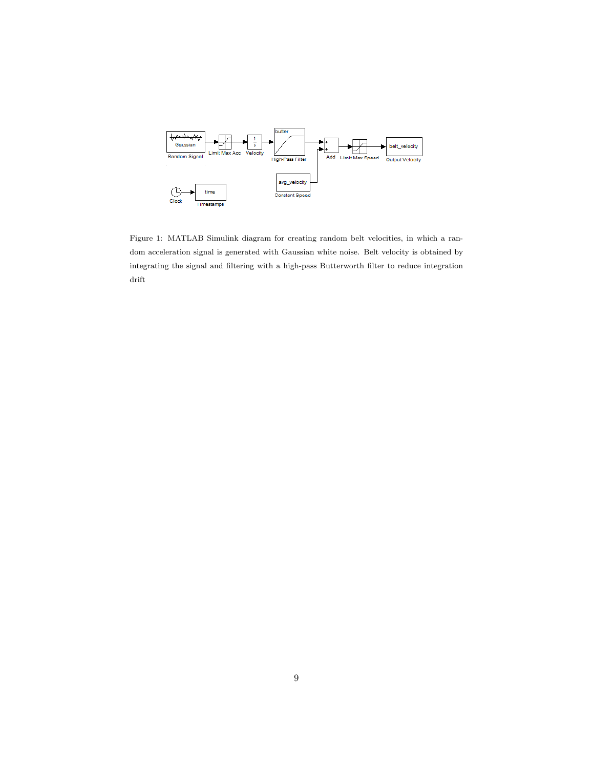

<span id="page-8-0"></span>Figure 1: MATLAB Simulink diagram for creating random belt velocities, in which a random acceleration signal is generated with Gaussian white noise. Belt velocity is obtained by integrating the signal and filtering with a high-pass Butterworth filter to reduce integration drift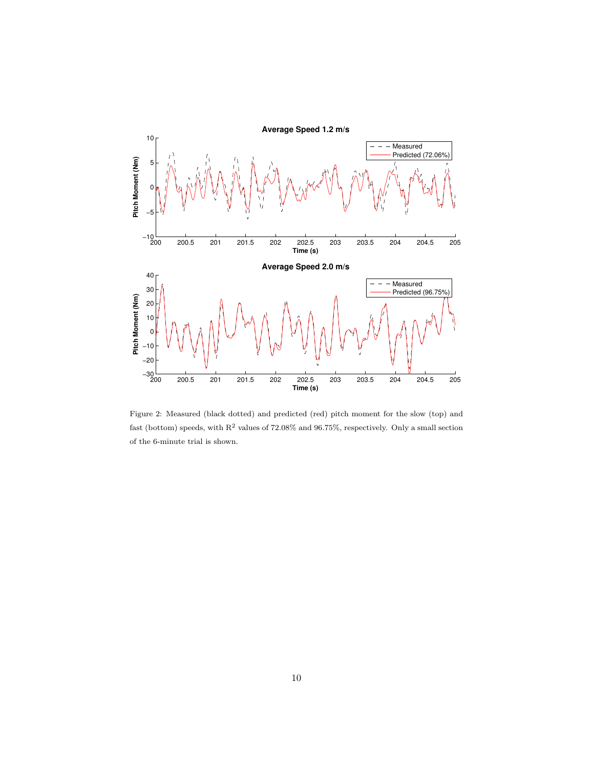

<span id="page-9-0"></span>Figure 2: Measured (black dotted) and predicted (red) pitch moment for the slow (top) and fast (bottom) speeds, with  $R^2$  values of 72.08% and 96.75%, respectively. Only a small section of the 6-minute trial is shown.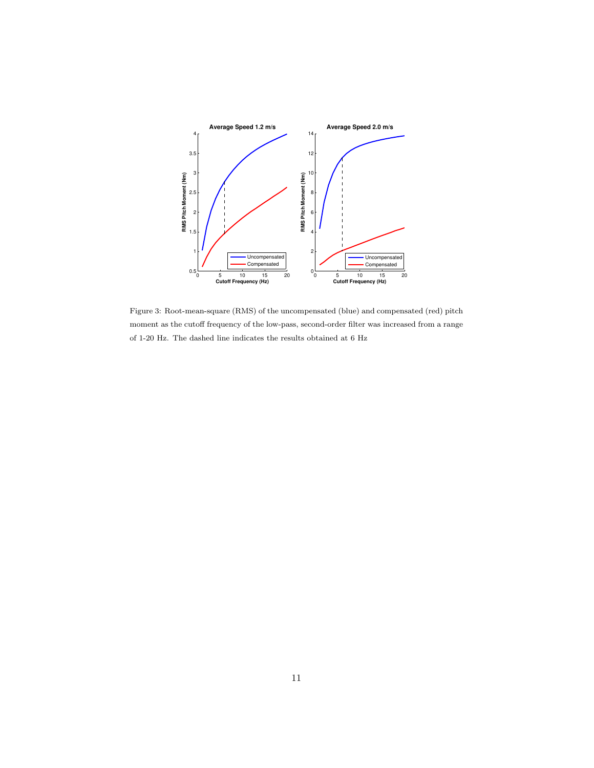

<span id="page-10-0"></span>Figure 3: Root-mean-square (RMS) of the uncompensated (blue) and compensated (red) pitch moment as the cutoff frequency of the low-pass, second-order filter was increased from a range of 1-20 Hz. The dashed line indicates the results obtained at 6 Hz